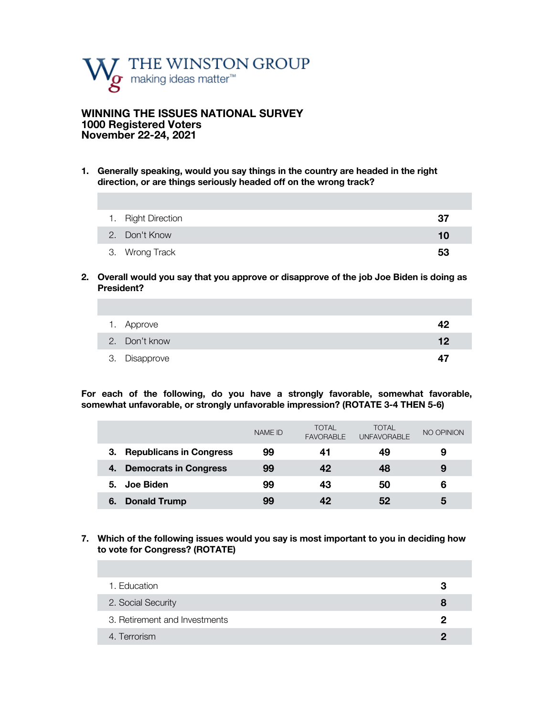

### **WINNING THE ISSUES NATIONAL SURVEY 1000 Registered Voters November 22-24, 2021**

**1. Generally speaking, would you say things in the country are headed in the right direction, or are things seriously headed off on the wrong track?** 

| 1. Right Direction | -37 |
|--------------------|-----|
| 2. Don't Know      | 10  |
| 3. Wrong Track     | 53  |

**2. Overall would you say that you approve or disapprove of the job Joe Biden is doing as President?**

| 1. Approve    | 42 |
|---------------|----|
| 2. Don't know | 12 |
| 3. Disapprove | 47 |

**For each of the following, do you have a strongly favorable, somewhat favorable, somewhat unfavorable, or strongly unfavorable impression? (ROTATE 3-4 THEN 5-6)**

|                                      | <b>NAME ID</b> | <b>TOTAL</b><br><b>FAVORABLE</b> | TOTAL<br><b>UNFAVORABLE</b> | NO OPINION |
|--------------------------------------|----------------|----------------------------------|-----------------------------|------------|
| <b>Republicans in Congress</b><br>З. | 99             | 41                               | 49                          | 9          |
| <b>Democrats in Congress</b><br>4.   | 99             | 42                               | 48                          | 9          |
| Joe Biden<br>5.                      | 99             | 43                               | 50                          | 6          |
| <b>Donald Trump</b><br>6.            | 99             | 42                               | 52                          | 5          |

**7. Which of the following issues would you say is most important to you in deciding how to vote for Congress? (ROTATE)**

| 1. Education                  | З |
|-------------------------------|---|
| 2. Social Security            | 8 |
| 3. Retirement and Investments | פ |
| 4. Terrorism                  |   |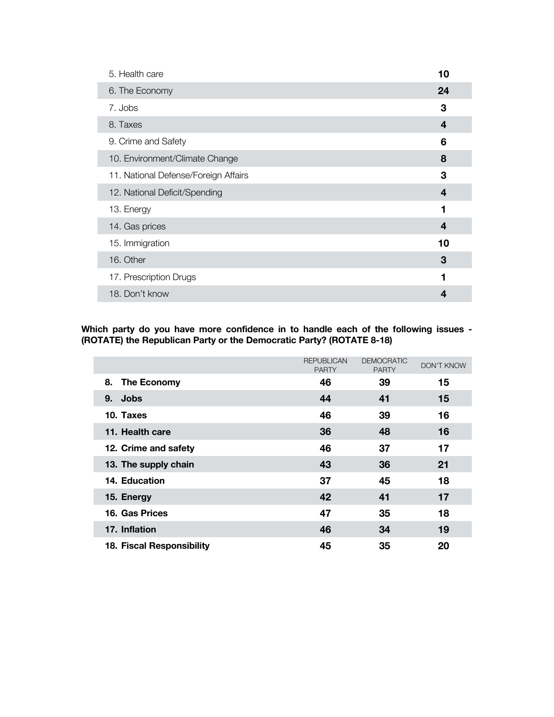| 5. Health care                       | 10 |
|--------------------------------------|----|
| 6. The Economy                       | 24 |
| 7. Jobs                              | 3  |
| 8. Taxes                             | 4  |
| 9. Crime and Safety                  | 6  |
| 10. Environment/Climate Change       | 8  |
| 11. National Defense/Foreign Affairs | 3  |
| 12. National Deficit/Spending        | 4  |
| 13. Energy                           | 1  |
| 14. Gas prices                       | 4  |
| 15. Immigration                      | 10 |
| 16. Other                            | 3  |
| 17. Prescription Drugs               | 1  |
| 18. Don't know                       | 4  |

**Which party do you have more confidence in to handle each of the following issues - (ROTATE) the Republican Party or the Democratic Party? (ROTATE 8-18)**

|                           | <b>REPUBLICAN</b><br><b>PARTY</b> | <b>DEMOCRATIC</b><br><b>PARTY</b> | <b>DON'T KNOW</b> |
|---------------------------|-----------------------------------|-----------------------------------|-------------------|
| 8.<br>The Economy         | 46                                | 39                                | 15                |
| <b>Jobs</b><br>9.         | 44                                | 41                                | 15                |
| 10. Taxes                 | 46                                | 39                                | 16                |
| 11. Health care           | 36                                | 48                                | 16                |
| 12. Crime and safety      | 46                                | 37                                | 17                |
| 13. The supply chain      | 43                                | 36                                | 21                |
| 14. Education             | 37                                | 45                                | 18                |
| 15. Energy                | 42                                | 41                                | 17                |
| 16. Gas Prices            | 47                                | 35                                | 18                |
| 17. Inflation             | 46                                | 34                                | 19                |
| 18. Fiscal Responsibility | 45                                | 35                                | 20                |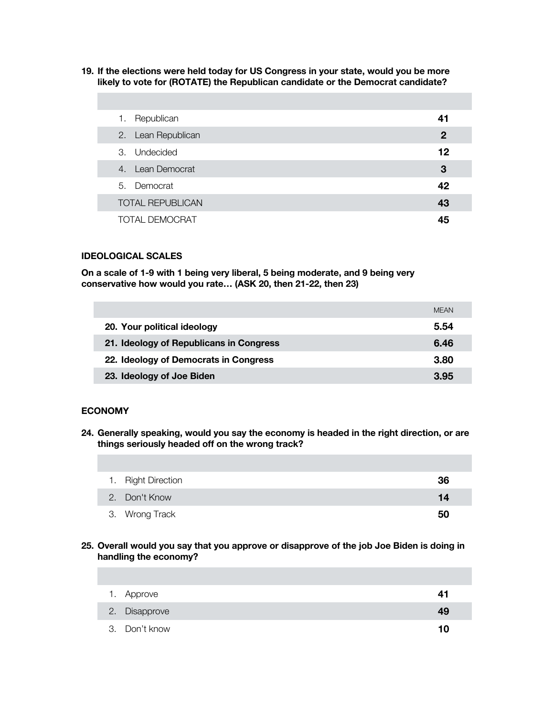**19. If the elections were held today for US Congress in your state, would you be more likely to vote for (ROTATE) the Republican candidate or the Democrat candidate?** 

| Republican<br>1.        | 41             |
|-------------------------|----------------|
| 2. Lean Republican      | $\overline{2}$ |
| 3. Undecided            | 12             |
| 4. Lean Democrat        | 3              |
| 5. Democrat             | 42             |
| <b>TOTAL REPUBLICAN</b> | 43             |
| TOTAL DEMOCRAT          | 45             |

#### **IDEOLOGICAL SCALES**

**On a scale of 1-9 with 1 being very liberal, 5 being moderate, and 9 being very conservative how would you rate… (ASK 20, then 21-22, then 23)**

|                                         | <b>MFAN</b> |
|-----------------------------------------|-------------|
| 20. Your political ideology             | 5.54        |
| 21. Ideology of Republicans in Congress | 6.46        |
| 22. Ideology of Democrats in Congress   | 3.80        |
| 23. Ideology of Joe Biden               | 3.95        |

#### **ECONOMY**

**24. Generally speaking, would you say the economy is headed in the right direction, or are things seriously headed off on the wrong track?** 

| 1. Right Direction | 36 |
|--------------------|----|
| 2. Don't Know      | 14 |
| 3. Wrong Track     | 50 |

### **25. Overall would you say that you approve or disapprove of the job Joe Biden is doing in handling the economy?**

| 1. Approve    | 41 |
|---------------|----|
| 2. Disapprove | 49 |
| 3. Don't know |    |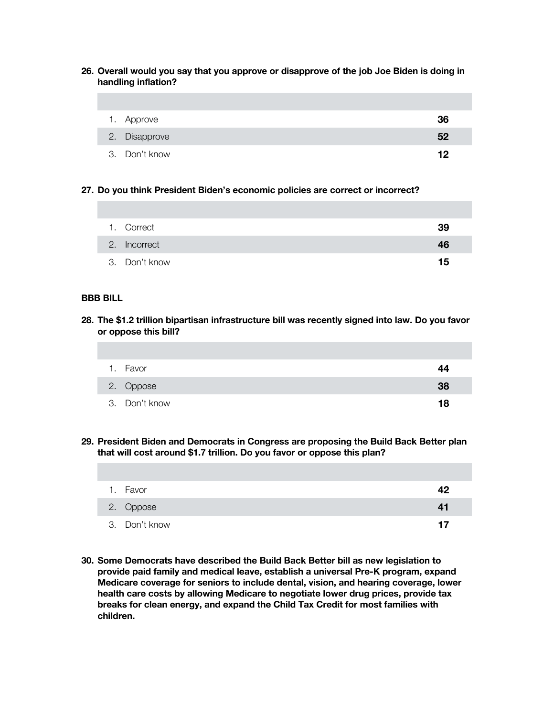**26. Overall would you say that you approve or disapprove of the job Joe Biden is doing in handling inflation?**

| 1. Approve    | 36 |
|---------------|----|
| 2. Disapprove | 52 |
| 3. Don't know | 12 |

### **27. Do you think President Biden's economic policies are correct or incorrect?**

| 1. Correct    | 39 |
|---------------|----|
| 2. Incorrect  | 46 |
| 3. Don't know | 15 |

#### **BBB BILL**

**28. The \$1.2 trillion bipartisan infrastructure bill was recently signed into law. Do you favor or oppose this bill?** 

| 1. Favor      | 44 |
|---------------|----|
| 2. Oppose     | 38 |
| 3. Don't know | 18 |

**29. President Biden and Democrats in Congress are proposing the Build Back Better plan that will cost around \$1.7 trillion. Do you favor or oppose this plan?** 

| 1. Favor      | 42 |
|---------------|----|
| 2. Oppose     | 41 |
| 3. Don't know | 17 |

**30. Some Democrats have described the Build Back Better bill as new legislation to provide paid family and medical leave, establish a universal Pre-K program, expand Medicare coverage for seniors to include dental, vision, and hearing coverage, lower health care costs by allowing Medicare to negotiate lower drug prices, provide tax breaks for clean energy, and expand the Child Tax Credit for most families with children.**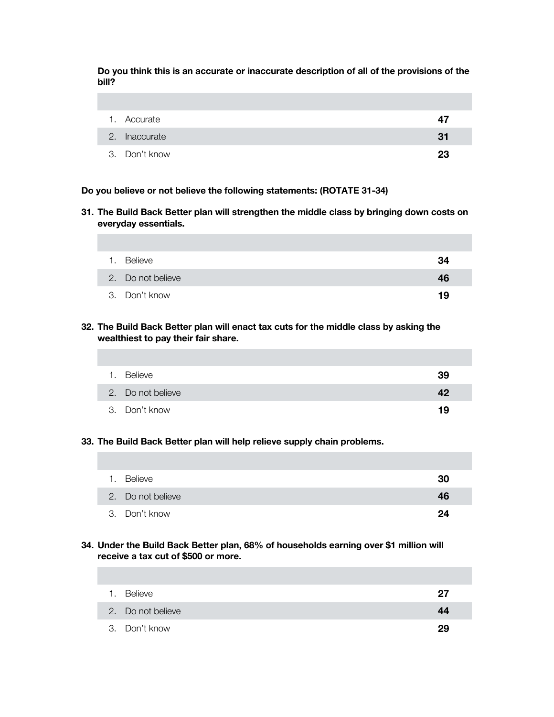**Do you think this is an accurate or inaccurate description of all of the provisions of the bill?** 

| 1. Accurate   | 47 |
|---------------|----|
| 2. Inaccurate | 31 |
| 3. Don't know | 23 |

**Do you believe or not believe the following statements: (ROTATE 31-34)**

**31. The Build Back Better plan will strengthen the middle class by bringing down costs on everyday essentials.**

| 1. | Believe           | 34 |
|----|-------------------|----|
|    | 2. Do not believe | 46 |
|    | 3. Don't know     | 19 |

**32. The Build Back Better plan will enact tax cuts for the middle class by asking the wealthiest to pay their fair share.**

| 1. Believe        | 39 |
|-------------------|----|
| 2. Do not believe | 42 |
| 3. Don't know     | 19 |

### **33. The Build Back Better plan will help relieve supply chain problems.**

| Believe<br>1.     | 30 |
|-------------------|----|
| 2. Do not believe | 46 |
| 3. Don't know     | 24 |

### **34. Under the Build Back Better plan, 68% of households earning over \$1 million will receive a tax cut of \$500 or more.**

| $\mathbf{1}$ . | Believe           | 27 |
|----------------|-------------------|----|
|                | 2. Do not believe | 44 |
|                | 3. Don't know     | 29 |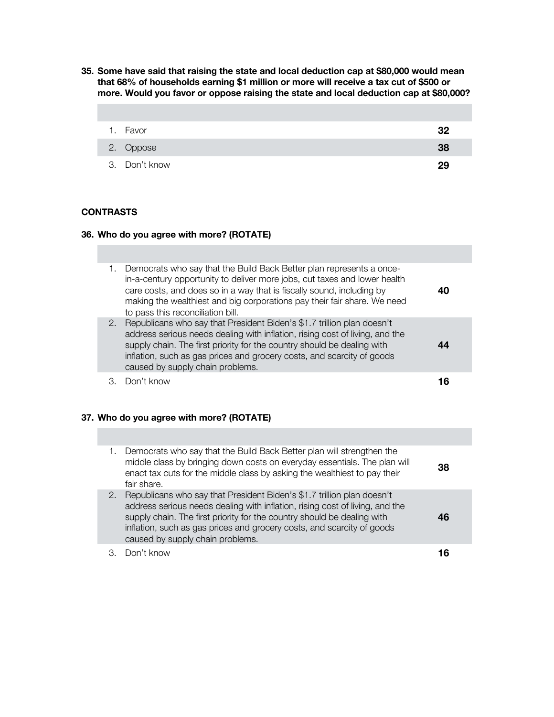**35. Some have said that raising the state and local deduction cap at \$80,000 would mean that 68% of households earning \$1 million or more will receive a tax cut of \$500 or more. Would you favor or oppose raising the state and local deduction cap at \$80,000?**

| 1. Favor      | 32 |
|---------------|----|
| 2. Oppose     | 38 |
| 3. Don't know | 29 |

### **CONTRASTS**

### **36. Who do you agree with more? (ROTATE)**

| 1. | Democrats who say that the Build Back Better plan represents a once-<br>in-a-century opportunity to deliver more jobs, cut taxes and lower health<br>care costs, and does so in a way that is fiscally sound, including by<br>making the wealthiest and big corporations pay their fair share. We need<br>to pass this reconciliation bill.     |  |
|----|-------------------------------------------------------------------------------------------------------------------------------------------------------------------------------------------------------------------------------------------------------------------------------------------------------------------------------------------------|--|
| 2. | Republicans who say that President Biden's \$1.7 trillion plan doesn't<br>address serious needs dealing with inflation, rising cost of living, and the<br>supply chain. The first priority for the country should be dealing with<br>inflation, such as gas prices and grocery costs, and scarcity of goods<br>caused by supply chain problems. |  |
|    | Don't know                                                                                                                                                                                                                                                                                                                                      |  |

### **37. Who do you agree with more? (ROTATE)**

| 1. | Democrats who say that the Build Back Better plan will strengthen the<br>middle class by bringing down costs on everyday essentials. The plan will<br>enact tax cuts for the middle class by asking the wealthiest to pay their<br>fair share.                                                                                                  | 38 |
|----|-------------------------------------------------------------------------------------------------------------------------------------------------------------------------------------------------------------------------------------------------------------------------------------------------------------------------------------------------|----|
| 2. | Republicans who say that President Biden's \$1.7 trillion plan doesn't<br>address serious needs dealing with inflation, rising cost of living, and the<br>supply chain. The first priority for the country should be dealing with<br>inflation, such as gas prices and grocery costs, and scarcity of goods<br>caused by supply chain problems. |    |
|    | Don't know                                                                                                                                                                                                                                                                                                                                      |    |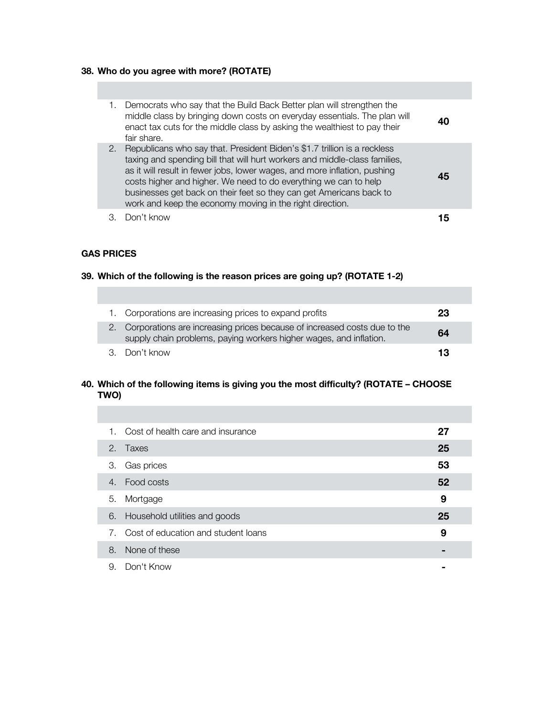# **38. Who do you agree with more? (ROTATE)**

| 1. | Democrats who say that the Build Back Better plan will strengthen the<br>middle class by bringing down costs on everyday essentials. The plan will<br>enact tax cuts for the middle class by asking the wealthiest to pay their<br>fair share.                                                                                                                                                                                             |     |
|----|--------------------------------------------------------------------------------------------------------------------------------------------------------------------------------------------------------------------------------------------------------------------------------------------------------------------------------------------------------------------------------------------------------------------------------------------|-----|
| 2. | Republicans who say that. President Biden's \$1.7 trillion is a reckless<br>taxing and spending bill that will hurt workers and middle-class families,<br>as it will result in fewer jobs, lower wages, and more inflation, pushing<br>costs higher and higher. We need to do everything we can to help<br>businesses get back on their feet so they can get Americans back to<br>work and keep the economy moving in the right direction. | 45  |
|    | Don't know                                                                                                                                                                                                                                                                                                                                                                                                                                 | ת ד |

### **GAS PRICES**

## **39. Which of the following is the reason prices are going up? (ROTATE 1-2)**

| 1. Corporations are increasing prices to expand profits                                                                                           | 23 |
|---------------------------------------------------------------------------------------------------------------------------------------------------|----|
| 2. Corporations are increasing prices because of increased costs due to the<br>supply chain problems, paying workers higher wages, and inflation. | 64 |
| 3. Don't know                                                                                                                                     | 13 |

## **40. Which of the following items is giving you the most difficulty? (ROTATE – CHOOSE TWO)**

| 1. | Cost of health care and insurance   | 27 |  |
|----|-------------------------------------|----|--|
|    | 2. Taxes                            | 25 |  |
| 3. | Gas prices                          | 53 |  |
|    | Food costs<br>$4_{\cdot}$           | 52 |  |
| 5. | Mortgage                            | 9  |  |
| 6. | Household utilities and goods       | 25 |  |
| 7. | Cost of education and student loans | 9  |  |
| 8. | None of these                       |    |  |
|    |                                     |    |  |

9. Don't Know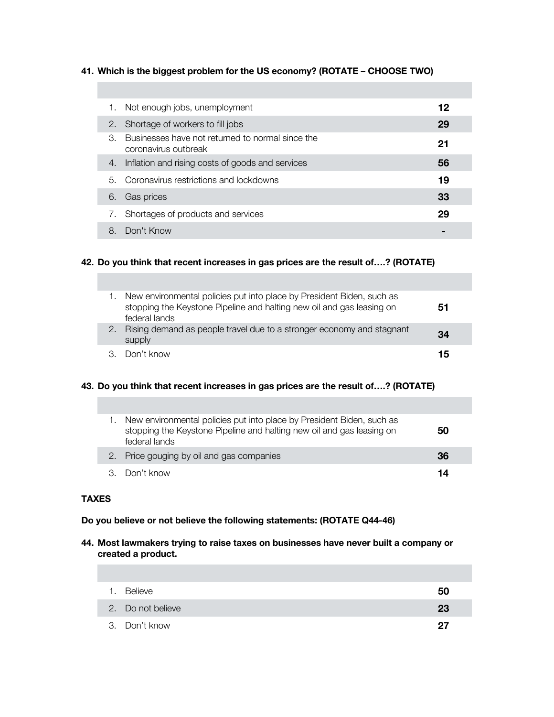### **41. Which is the biggest problem for the US economy? (ROTATE – CHOOSE TWO)**

| 1. | Not enough jobs, unemployment                                            | 12 |
|----|--------------------------------------------------------------------------|----|
|    | 2. Shortage of workers to fill jobs                                      | 29 |
| 3. | Businesses have not returned to normal since the<br>coronavirus outbreak | 21 |
| 4. | Inflation and rising costs of goods and services                         | 56 |
| 5. | Coronavirus restrictions and lockdowns                                   | 19 |
| 6. | Gas prices                                                               | 33 |
|    | Shortages of products and services                                       | 29 |
| 8. | Don't Know                                                               |    |

### **42. Do you think that recent increases in gas prices are the result of….? (ROTATE)**

| New environmental policies put into place by President Biden, such as<br>stopping the Keystone Pipeline and halting new oil and gas leasing on<br>federal lands | 51 |
|-----------------------------------------------------------------------------------------------------------------------------------------------------------------|----|
| Rising demand as people travel due to a stronger economy and stagnant<br>supply                                                                                 | 34 |
| Don't know                                                                                                                                                      | 15 |

### **43. Do you think that recent increases in gas prices are the result of….? (ROTATE)**

| New environmental policies put into place by President Biden, such as<br>stopping the Keystone Pipeline and halting new oil and gas leasing on<br>federal lands | 50 |
|-----------------------------------------------------------------------------------------------------------------------------------------------------------------|----|
| 2. Price gouging by oil and gas companies                                                                                                                       | 36 |
| 3. Don't know                                                                                                                                                   | 14 |

### **TAXES**

### **Do you believe or not believe the following statements: (ROTATE Q44-46)**

**44. Most lawmakers trying to raise taxes on businesses have never built a company or created a product.** 

| 1. Believe        | 50 |
|-------------------|----|
| 2. Do not believe | 23 |
| 3. Don't know     | 27 |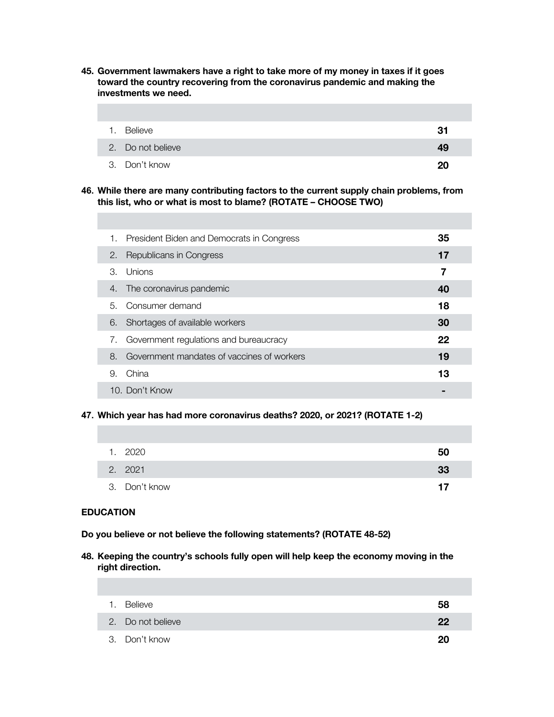**45. Government lawmakers have a right to take more of my money in taxes if it goes toward the country recovering from the coronavirus pandemic and making the investments we need.**

| $\mathbf{1}$ . | Believe           | 31 |
|----------------|-------------------|----|
|                | 2. Do not believe | 49 |
|                | 3. Don't know     | 20 |

**46. While there are many contributing factors to the current supply chain problems, from this list, who or what is most to blame? (ROTATE – CHOOSE TWO)**

| 1. | President Biden and Democrats in Congress  | 35 |  |
|----|--------------------------------------------|----|--|
| 2. | Republicans in Congress                    | 17 |  |
| 3  | Unions                                     | 7  |  |
| 4. | The coronavirus pandemic                   | 40 |  |
| 5. | Consumer demand                            | 18 |  |
| 6. | Shortages of available workers             | 30 |  |
| 7. | Government regulations and bureaucracy     | 22 |  |
| 8. | Government mandates of vaccines of workers | 19 |  |
| 9. | China                                      | 13 |  |
|    | 10. Don't Know                             |    |  |
|    |                                            |    |  |

**47. Which year has had more coronavirus deaths? 2020, or 2021? (ROTATE 1-2)**

| 1. 2020       | 50 |
|---------------|----|
| 2. 2021       | 33 |
| 3. Don't know | 17 |

#### **EDUCATION**

**Do you believe or not believe the following statements? (ROTATE 48-52)**

**48. Keeping the country's schools fully open will help keep the economy moving in the right direction.**

| 1. | Believe           | 58 |
|----|-------------------|----|
|    | 2. Do not believe | 22 |
|    | 3. Don't know     | 20 |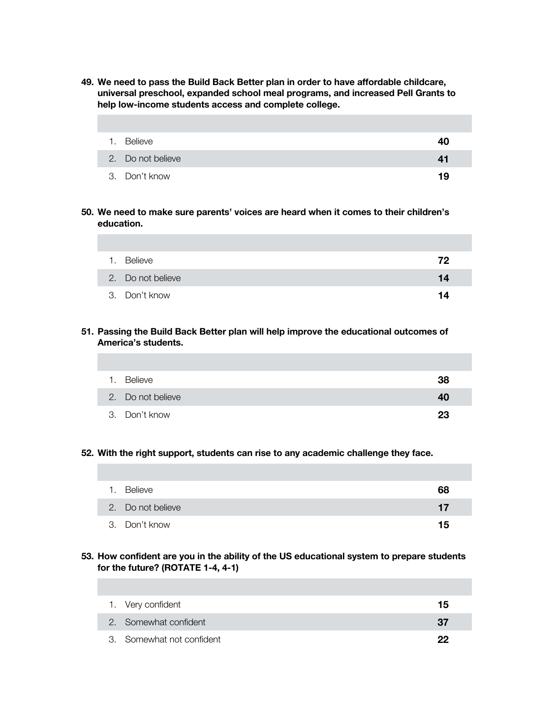**49. We need to pass the Build Back Better plan in order to have affordable childcare, universal preschool, expanded school meal programs, and increased Pell Grants to help low-income students access and complete college.**

| 1. Believe        | 40 |
|-------------------|----|
| 2. Do not believe | 41 |
| 3. Don't know     | 19 |

**50. We need to make sure parents' voices are heard when it comes to their children's education.**

| 1. Believe        | 72 |
|-------------------|----|
| 2. Do not believe | 14 |
| 3. Don't know     | 14 |

**51. Passing the Build Back Better plan will help improve the educational outcomes of America's students.**

| 1. | Believe           | 38 |
|----|-------------------|----|
|    | 2. Do not believe | 40 |
|    | 3. Don't know     | 23 |

### **52. With the right support, students can rise to any academic challenge they face.**

| 1. | Believe           | 68 |
|----|-------------------|----|
|    | 2. Do not believe | 17 |
|    | 3. Don't know     | 15 |

### **53. How confident are you in the ability of the US educational system to prepare students for the future? (ROTATE 1-4, 4-1)**

| 1. Very confident         | 15 |
|---------------------------|----|
| 2. Somewhat confident     | 37 |
| 3. Somewhat not confident | 22 |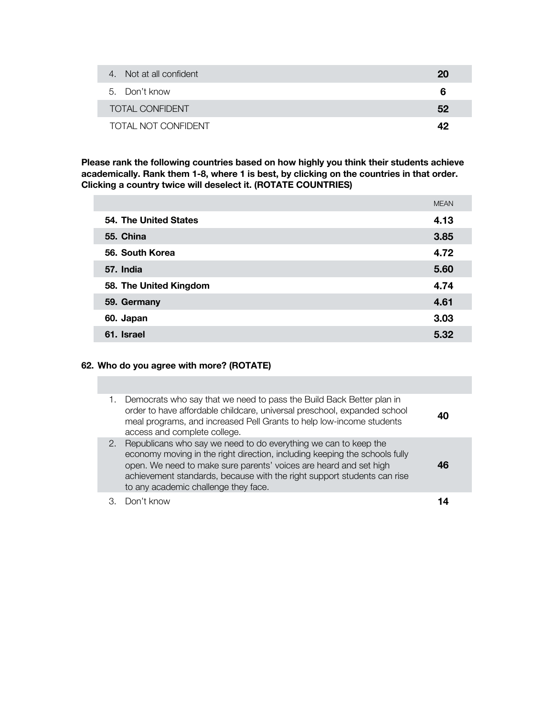| 4. Not at all confident | 20 |
|-------------------------|----|
| 5. Don't know           | 6  |
| TOTAL CONFIDENT         | 52 |
| TOTAL NOT CONFIDENT     | 49 |

**Please rank the following countries based on how highly you think their students achieve academically. Rank them 1-8, where 1 is best, by clicking on the countries in that order. Clicking a country twice will deselect it. (ROTATE COUNTRIES)**

|                        | <b>MEAN</b> |
|------------------------|-------------|
| 54. The United States  | 4.13        |
| 55. China              | 3.85        |
| 56. South Korea        | 4.72        |
| 57. India              | 5.60        |
| 58. The United Kingdom | 4.74        |
| 59. Germany            | 4.61        |
| 60. Japan              | 3.03        |
| 61. Israel             | 5.32        |

## **62. Who do you agree with more? (ROTATE)**

| 1. | Democrats who say that we need to pass the Build Back Better plan in<br>order to have affordable childcare, universal preschool, expanded school<br>meal programs, and increased Pell Grants to help low-income students<br>access and complete college.                                                                              |  |
|----|---------------------------------------------------------------------------------------------------------------------------------------------------------------------------------------------------------------------------------------------------------------------------------------------------------------------------------------|--|
| 2. | Republicans who say we need to do everything we can to keep the<br>economy moving in the right direction, including keeping the schools fully<br>open. We need to make sure parents' voices are heard and set high<br>achievement standards, because with the right support students can rise<br>to any academic challenge they face. |  |
|    | Don't know                                                                                                                                                                                                                                                                                                                            |  |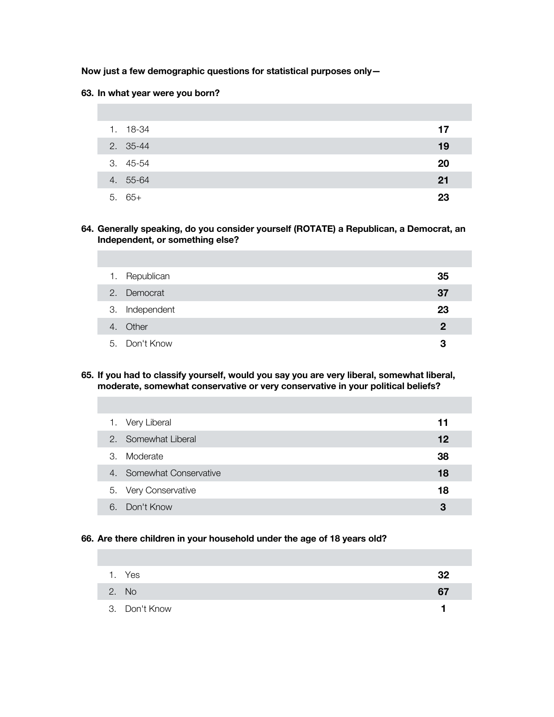### **Now just a few demographic questions for statistical purposes only—**

### **63. In what year were you born?**

| 1. 18-34 | 17 |
|----------|----|
| 2. 35-44 | 19 |
| 3. 45-54 | 20 |
| 4. 55-64 | 21 |
| $5.65+$  | 23 |

### **64. Generally speaking, do you consider yourself (ROTATE) a Republican, a Democrat, an Independent, or something else?**

| 1. Republican  | 35 |
|----------------|----|
| 2. Democrat    | 37 |
| 3. Independent | 23 |
| 4. Other       | 2  |
| 5. Don't Know  | 3  |

#### **65. If you had to classify yourself, would you say you are very liberal, somewhat liberal, moderate, somewhat conservative or very conservative in your political beliefs?**

|    | 1. Very Liberal          | 11 |
|----|--------------------------|----|
|    | 2. Somewhat Liberal      | 12 |
| 3. | Moderate                 | 38 |
|    | 4. Somewhat Conservative | 18 |
|    | 5. Very Conservative     | 18 |
| 6  | Don't Know               | 3  |

### **66. Are there children in your household under the age of 18 years old?**

| 1. Yes        | -32 |
|---------------|-----|
| 2. No         | 67  |
| 3. Don't Know |     |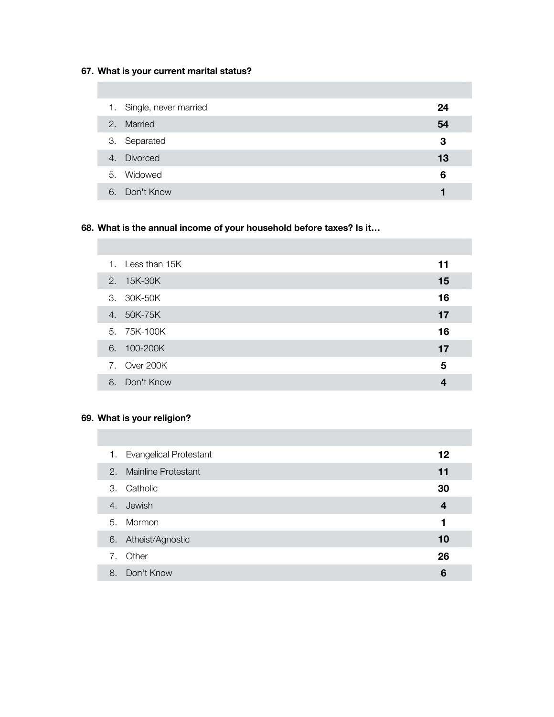## **67. What is your current marital status?**

|    | 1. Single, never married | 24 |
|----|--------------------------|----|
| 2. | Married                  | 54 |
|    | 3. Separated             | 3  |
|    | 4. Divorced              | 13 |
|    | 5. Widowed               | 6  |
| 6. | Don't Know               |    |

# **68. What is the annual income of your household before taxes? Is it…**

|    | 1. Less than 15K | 11 |
|----|------------------|----|
|    | 2. 15K-30K       | 15 |
|    | 3. 30K-50K       | 16 |
| 4. | 50K-75K          | 17 |
|    | 5. 75K-100K      | 16 |
| 6. | 100-200K         | 17 |
|    | 7. Over 200K     | 5  |
| 8. | Don't Know       | 4  |
|    |                  |    |

## **69. What is your religion?**

|    | 1. Evangelical Protestant | 12 |
|----|---------------------------|----|
|    | 2. Mainline Protestant    | 11 |
| 3. | Catholic                  | 30 |
| 4. | Jewish                    | 4  |
|    | 5. Mormon                 | 1  |
| 6. | Atheist/Agnostic          | 10 |
| 7. | Other                     | 26 |
| 8. | Don't Know                | 6  |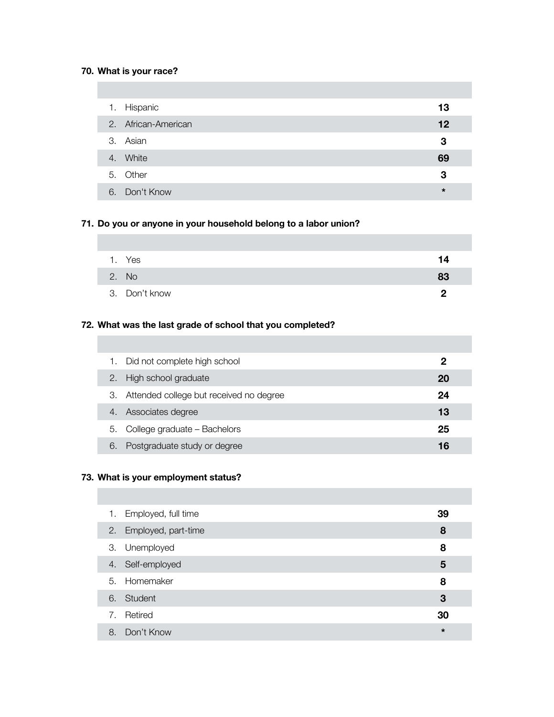## **70. What is your race?**

| 1. Hispanic         | 13      |
|---------------------|---------|
| 2. African-American | 12      |
| 3. Asian            | 3       |
| 4. White            | 69      |
| 5. Other            | 3       |
| 6. Don't Know       | $\star$ |

## **71. Do you or anyone in your household belong to a labor union?**

| 1. Yes        | 14 |
|---------------|----|
| 2. No         | 83 |
| 3. Don't know | פ  |

# **72. What was the last grade of school that you completed?**

| 1. | Did not complete high school            | 2  |  |
|----|-----------------------------------------|----|--|
| 2. | High school graduate                    | 20 |  |
| З. | Attended college but received no degree | 24 |  |
| 4. | Associates degree                       | 13 |  |
| 5. | College graduate - Bachelors            | 25 |  |
| 6  | Postgraduate study or degree            | 16 |  |

# **73. What is your employment status?**

| 1. | Employed, full time    | 39      |
|----|------------------------|---------|
|    | 2. Employed, part-time | 8       |
|    | 3. Unemployed          | 8       |
|    | 4. Self-employed       | 5       |
|    | 5. Homemaker           | 8       |
|    | 6. Student             | 3       |
| 7. | Retired                | 30      |
| 8. | Don't Know             | $\star$ |